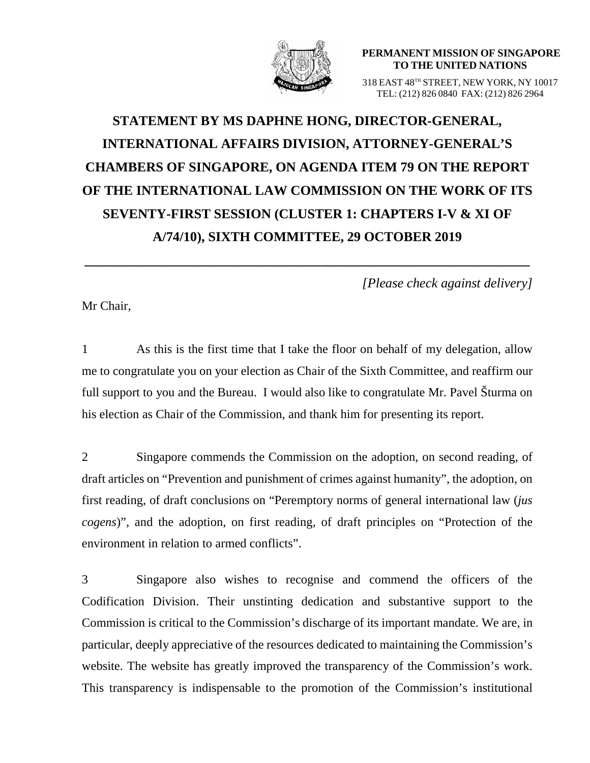

**PERMANENT MISSION OF SINGAPORE TO THE UNITED NATIONS**

318 EAST 48TH STREET, NEW YORK, NY 10017 TEL: (212) 826 0840 FAX: (212) 826 2964

## **STATEMENT BY MS DAPHNE HONG, DIRECTOR-GENERAL, INTERNATIONAL AFFAIRS DIVISION, ATTORNEY-GENERAL'S CHAMBERS OF SINGAPORE, ON AGENDA ITEM 79 ON THE REPORT OF THE INTERNATIONAL LAW COMMISSION ON THE WORK OF ITS SEVENTY-FIRST SESSION (CLUSTER 1: CHAPTERS I-V & XI OF A/74/10), SIXTH COMMITTEE, 29 OCTOBER 2019**

**\_\_\_\_\_\_\_\_\_\_\_\_\_\_\_\_\_\_\_\_\_\_\_\_\_\_\_\_\_\_\_\_\_\_\_\_\_\_\_\_\_\_\_\_\_\_\_\_\_\_\_\_\_\_\_\_\_\_\_\_\_\_\_\_\_\_**

*[Please check against delivery]*

Mr Chair,

1 As this is the first time that I take the floor on behalf of my delegation, allow me to congratulate you on your election as Chair of the Sixth Committee, and reaffirm our full support to you and the Bureau. I would also like to congratulate Mr. Pavel Šturma on his election as Chair of the Commission, and thank him for presenting its report.

2 Singapore commends the Commission on the adoption, on second reading, of draft articles on "Prevention and punishment of crimes against humanity", the adoption, on first reading, of draft conclusions on "Peremptory norms of general international law (*jus cogens*)", and the adoption, on first reading, of draft principles on "Protection of the environment in relation to armed conflicts".

3 Singapore also wishes to recognise and commend the officers of the Codification Division. Their unstinting dedication and substantive support to the Commission is critical to the Commission's discharge of its important mandate. We are, in particular, deeply appreciative of the resources dedicated to maintaining the Commission's website. The website has greatly improved the transparency of the Commission's work. This transparency is indispensable to the promotion of the Commission's institutional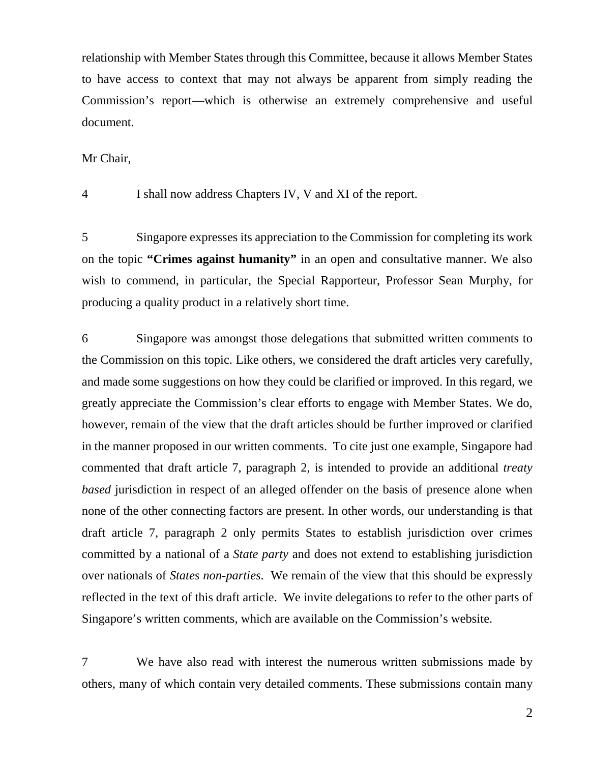relationship with Member States through this Committee, because it allows Member States to have access to context that may not always be apparent from simply reading the Commission's report—which is otherwise an extremely comprehensive and useful document.

Mr Chair,

4 I shall now address Chapters IV, V and XI of the report.

5 Singapore expresses its appreciation to the Commission for completing its work on the topic **"Crimes against humanity"** in an open and consultative manner. We also wish to commend, in particular, the Special Rapporteur, Professor Sean Murphy, for producing a quality product in a relatively short time.

6 Singapore was amongst those delegations that submitted written comments to the Commission on this topic. Like others, we considered the draft articles very carefully, and made some suggestions on how they could be clarified or improved. In this regard, we greatly appreciate the Commission's clear efforts to engage with Member States. We do, however, remain of the view that the draft articles should be further improved or clarified in the manner proposed in our written comments. To cite just one example, Singapore had commented that draft article 7, paragraph 2, is intended to provide an additional *treaty based* jurisdiction in respect of an alleged offender on the basis of presence alone when none of the other connecting factors are present. In other words, our understanding is that draft article 7, paragraph 2 only permits States to establish jurisdiction over crimes committed by a national of a *State party* and does not extend to establishing jurisdiction over nationals of *States non-parties*. We remain of the view that this should be expressly reflected in the text of this draft article. We invite delegations to refer to the other parts of Singapore's written comments, which are available on the Commission's website.

7 We have also read with interest the numerous written submissions made by others, many of which contain very detailed comments. These submissions contain many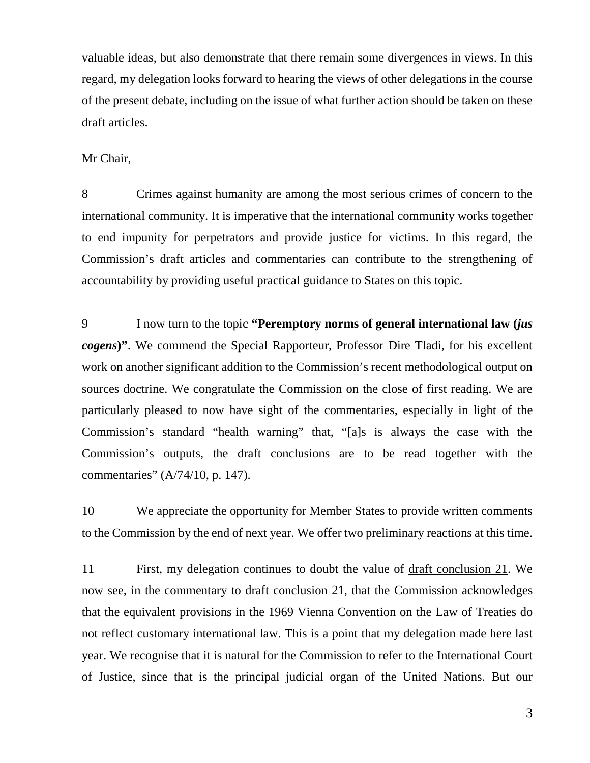valuable ideas, but also demonstrate that there remain some divergences in views. In this regard, my delegation looks forward to hearing the views of other delegations in the course of the present debate, including on the issue of what further action should be taken on these draft articles.

## Mr Chair,

8 Crimes against humanity are among the most serious crimes of concern to the international community. It is imperative that the international community works together to end impunity for perpetrators and provide justice for victims. In this regard, the Commission's draft articles and commentaries can contribute to the strengthening of accountability by providing useful practical guidance to States on this topic.

9 I now turn to the topic **"Peremptory norms of general international law (***jus cogens***)"**. We commend the Special Rapporteur, Professor Dire Tladi, for his excellent work on another significant addition to the Commission's recent methodological output on sources doctrine. We congratulate the Commission on the close of first reading. We are particularly pleased to now have sight of the commentaries, especially in light of the Commission's standard "health warning" that, "[a]s is always the case with the Commission's outputs, the draft conclusions are to be read together with the commentaries" (A/74/10, p. 147).

10 We appreciate the opportunity for Member States to provide written comments to the Commission by the end of next year. We offer two preliminary reactions at this time.

11 First, my delegation continues to doubt the value of draft conclusion 21. We now see, in the commentary to draft conclusion 21, that the Commission acknowledges that the equivalent provisions in the 1969 Vienna Convention on the Law of Treaties do not reflect customary international law. This is a point that my delegation made here last year. We recognise that it is natural for the Commission to refer to the International Court of Justice, since that is the principal judicial organ of the United Nations. But our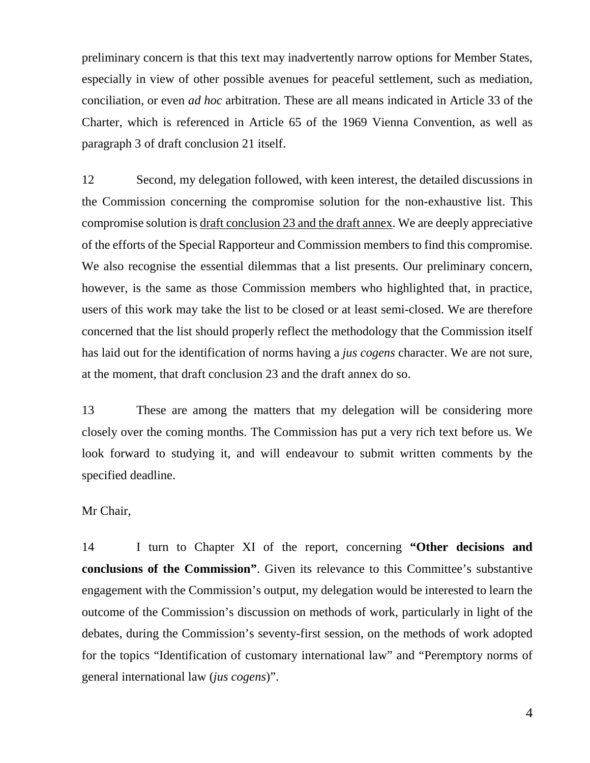preliminary concern is that this text may inadvertently narrow options for Member States, especially in view of other possible avenues for peaceful settlement, such as mediation, conciliation, or even *ad hoc* arbitration. These are all means indicated in Article 33 of the Charter, which is referenced in Article 65 of the 1969 Vienna Convention, as well as paragraph 3 of draft conclusion 21 itself.

12 Second, my delegation followed, with keen interest, the detailed discussions in the Commission concerning the compromise solution for the non-exhaustive list. This compromise solution is draft conclusion 23 and the draft annex. We are deeply appreciative of the efforts of the Special Rapporteur and Commission members to find this compromise. We also recognise the essential dilemmas that a list presents. Our preliminary concern, however, is the same as those Commission members who highlighted that, in practice, users of this work may take the list to be closed or at least semi-closed. We are therefore concerned that the list should properly reflect the methodology that the Commission itself has laid out for the identification of norms having a *jus cogens* character. We are not sure, at the moment, that draft conclusion 23 and the draft annex do so.

13 These are among the matters that my delegation will be considering more closely over the coming months. The Commission has put a very rich text before us. We look forward to studying it, and will endeavour to submit written comments by the specified deadline.

## Mr Chair,

14 I turn to Chapter XI of the report, concerning **"Other decisions and conclusions of the Commission"**. Given its relevance to this Committee's substantive engagement with the Commission's output, my delegation would be interested to learn the outcome of the Commission's discussion on methods of work, particularly in light of the debates, during the Commission's seventy-first session, on the methods of work adopted for the topics "Identification of customary international law" and "Peremptory norms of general international law (*jus cogens*)".